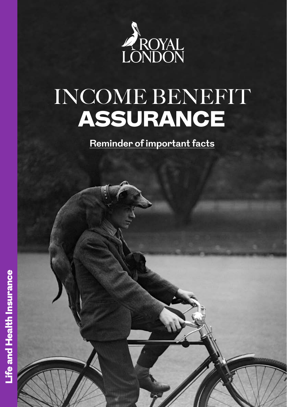

# INCOME BENEFIT ASSURANCE

**Reminder of important facts**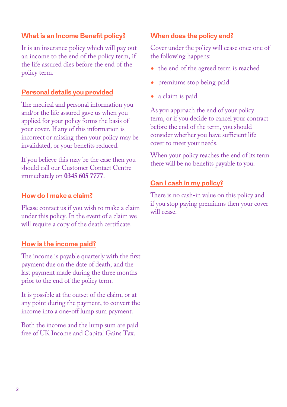#### **What is an Income Benefit policy?**

It is an insurance policy which will pay out an income to the end of the policy term, if the life assured dies before the end of the policy term.

#### **Personal details you provided**

The medical and personal information you and/or the life assured gave us when you applied for your policy forms the basis of your cover. If any of this information is incorrect or missing then your policy may be invalidated, or your benefits reduced.

If you believe this may be the case then you should call our Customer Contact Centre immediately on **0345 605 7777**.

#### **How do I make a claim?**

Please contact us if you wish to make a claim under this policy. In the event of a claim we will require a copy of the death certificate.

#### **How is the income paid?**

The income is payable quarterly with the first payment due on the date of death, and the last payment made during the three months prior to the end of the policy term.

It is possible at the outset of the claim, or at any point during the payment, to convert the income into a one-off lump sum payment.

Both the income and the lump sum are paid free of UK Income and Capital Gains Tax.

#### **When does the policy end?**

Cover under the policy will cease once one of the following happens:

- the end of the agreed term is reached
- premiums stop being paid
- a claim is paid

As you approach the end of your policy term, or if you decide to cancel your contract before the end of the term, you should consider whether you have sufficient life cover to meet your needs.

When your policy reaches the end of its term there will be no benefits payable to you.

#### **Can I cash in my policy?**

There is no cash-in value on this policy and if you stop paying premiums then your cover will cease.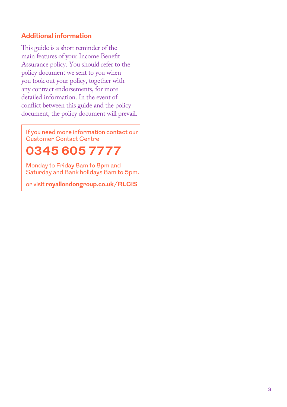#### **Additional information**

This guide is a short reminder of the main features of your Income Benefit Assurance policy. You should refer to the policy document we sent to you when you took out your policy, together with any contract endorsements, for more detailed information. In the event of conflict between this guide and the policy document, the policy document will prevail.

If you need more information contact our Customer Contact Centre

## **0345 605 7777**

Monday to Friday 8am to 8pm and Saturday and Bank holidays 8am to 5pm.

or visit **[royallondongroup.co.uk/RLCIS](http://www.royallondongroup.co.uk/RLCIS)**